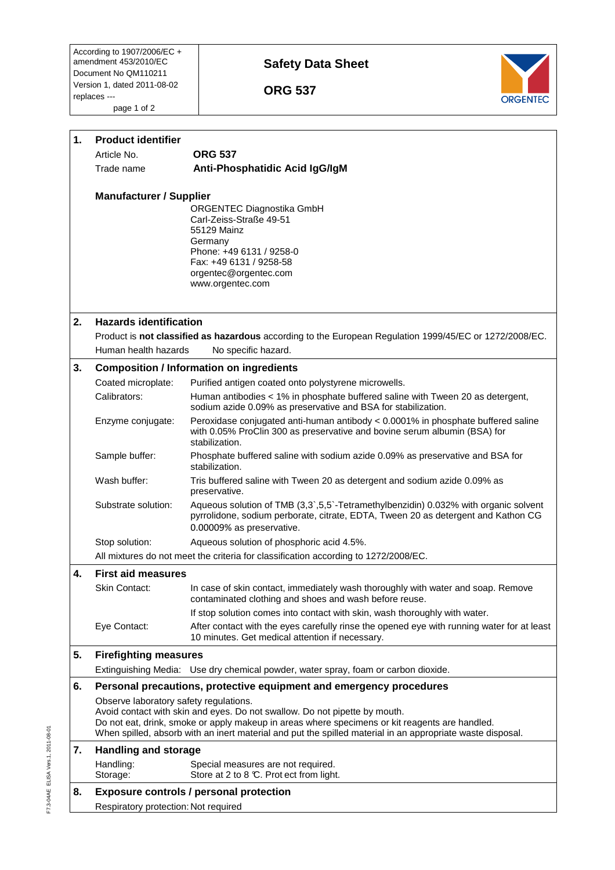According to 1907/2006/EC + amendment 453/2010/EC Document No QM110211 Version 1, dated 2011-08-02 replaces -- page 1 of 2

## **Safety Data Sheet**

 **ORG 537** 



| 1. | <b>Product identifier</b>                                                              |                                                                                                                                                                                                              |  |  |
|----|----------------------------------------------------------------------------------------|--------------------------------------------------------------------------------------------------------------------------------------------------------------------------------------------------------------|--|--|
|    | Article No.                                                                            | <b>ORG 537</b>                                                                                                                                                                                               |  |  |
|    | Trade name                                                                             | Anti-Phosphatidic Acid IgG/IgM                                                                                                                                                                               |  |  |
|    |                                                                                        |                                                                                                                                                                                                              |  |  |
|    | <b>Manufacturer / Supplier</b>                                                         |                                                                                                                                                                                                              |  |  |
|    |                                                                                        | ORGENTEC Diagnostika GmbH                                                                                                                                                                                    |  |  |
|    |                                                                                        | Carl-Zeiss-Straße 49-51<br>55129 Mainz                                                                                                                                                                       |  |  |
|    |                                                                                        | Germany                                                                                                                                                                                                      |  |  |
|    |                                                                                        | Phone: +49 6131 / 9258-0                                                                                                                                                                                     |  |  |
|    |                                                                                        | Fax: +49 6131 / 9258-58                                                                                                                                                                                      |  |  |
|    |                                                                                        | orgentec@orgentec.com<br>www.orgentec.com                                                                                                                                                                    |  |  |
|    |                                                                                        |                                                                                                                                                                                                              |  |  |
|    |                                                                                        |                                                                                                                                                                                                              |  |  |
| 2. | <b>Hazards identification</b>                                                          |                                                                                                                                                                                                              |  |  |
|    |                                                                                        | Product is not classified as hazardous according to the European Regulation 1999/45/EC or 1272/2008/EC.                                                                                                      |  |  |
|    | Human health hazards                                                                   | No specific hazard.                                                                                                                                                                                          |  |  |
| 3. | <b>Composition / Information on ingredients</b>                                        |                                                                                                                                                                                                              |  |  |
|    | Coated microplate:                                                                     | Purified antigen coated onto polystyrene microwells.                                                                                                                                                         |  |  |
|    | Calibrators:                                                                           | Human antibodies < 1% in phosphate buffered saline with Tween 20 as detergent,                                                                                                                               |  |  |
|    |                                                                                        | sodium azide 0.09% as preservative and BSA for stabilization.                                                                                                                                                |  |  |
|    | Enzyme conjugate:                                                                      | Peroxidase conjugated anti-human antibody < 0.0001% in phosphate buffered saline                                                                                                                             |  |  |
|    |                                                                                        | with 0.05% ProClin 300 as preservative and bovine serum albumin (BSA) for<br>stabilization.                                                                                                                  |  |  |
|    | Sample buffer:                                                                         | Phosphate buffered saline with sodium azide 0.09% as preservative and BSA for                                                                                                                                |  |  |
|    |                                                                                        | stabilization.                                                                                                                                                                                               |  |  |
|    | Wash buffer:                                                                           | Tris buffered saline with Tween 20 as detergent and sodium azide 0.09% as<br>preservative.                                                                                                                   |  |  |
|    | Substrate solution:                                                                    | Aqueous solution of TMB (3,3`,5,5`-Tetramethylbenzidin) 0.032% with organic solvent<br>pyrrolidone, sodium perborate, citrate, EDTA, Tween 20 as detergent and Kathon CG                                     |  |  |
|    |                                                                                        | 0.00009% as preservative.                                                                                                                                                                                    |  |  |
|    | Stop solution:                                                                         | Aqueous solution of phosphoric acid 4.5%.                                                                                                                                                                    |  |  |
|    |                                                                                        | All mixtures do not meet the criteria for classification according to 1272/2008/EC.                                                                                                                          |  |  |
| 4. | <b>First aid measures</b>                                                              |                                                                                                                                                                                                              |  |  |
|    | Skin Contact:                                                                          | In case of skin contact, immediately wash thoroughly with water and soap. Remove                                                                                                                             |  |  |
|    |                                                                                        | contaminated clothing and shoes and wash before reuse.                                                                                                                                                       |  |  |
|    |                                                                                        | If stop solution comes into contact with skin, wash thoroughly with water.                                                                                                                                   |  |  |
|    | Eye Contact:                                                                           | After contact with the eyes carefully rinse the opened eye with running water for at least                                                                                                                   |  |  |
|    |                                                                                        | 10 minutes. Get medical attention if necessary.                                                                                                                                                              |  |  |
| 5. | <b>Firefighting measures</b>                                                           |                                                                                                                                                                                                              |  |  |
|    |                                                                                        | Extinguishing Media: Use dry chemical powder, water spray, foam or carbon dioxide.                                                                                                                           |  |  |
| 6. |                                                                                        | Personal precautions, protective equipment and emergency procedures                                                                                                                                          |  |  |
|    | Observe laboratory safety regulations.                                                 |                                                                                                                                                                                                              |  |  |
|    |                                                                                        | Avoid contact with skin and eyes. Do not swallow. Do not pipette by mouth.                                                                                                                                   |  |  |
|    |                                                                                        | Do not eat, drink, smoke or apply makeup in areas where specimens or kit reagents are handled.<br>When spilled, absorb with an inert material and put the spilled material in an appropriate waste disposal. |  |  |
| 7. | <b>Handling and storage</b>                                                            |                                                                                                                                                                                                              |  |  |
|    |                                                                                        |                                                                                                                                                                                                              |  |  |
|    | Handling:<br>Storage:                                                                  | Special measures are not required.<br>Store at 2 to 8 °C. Prot ect from light.                                                                                                                               |  |  |
| 8. |                                                                                        |                                                                                                                                                                                                              |  |  |
|    | <b>Exposure controls / personal protection</b><br>Respiratory protection: Not required |                                                                                                                                                                                                              |  |  |
|    |                                                                                        |                                                                                                                                                                                                              |  |  |